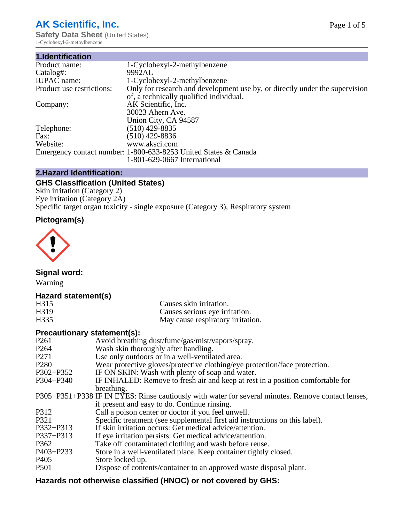# **AK Scientific, Inc.**

**Safety Data Sheet (United States)** 1-Cyclohexyl-2-methylbenzene

| 1.Identification          |                                                                                                                        |
|---------------------------|------------------------------------------------------------------------------------------------------------------------|
| Product name:             | 1-Cyclohexyl-2-methylbenzene                                                                                           |
| Catalog#:                 | 9992AL                                                                                                                 |
| <b>IUPAC</b> name:        | 1-Cyclohexyl-2-methylbenzene                                                                                           |
| Product use restrictions: | Only for research and development use by, or directly under the supervision<br>of, a technically qualified individual. |
| Company:                  | AK Scientific, Inc.<br>30023 Ahern Ave.<br>Union City, CA 94587                                                        |
| Telephone:                | $(510)$ 429-8835                                                                                                       |
| Fax:                      | $(510)$ 429-8836                                                                                                       |
| Website:                  | www.aksci.com                                                                                                          |
|                           | Emergency contact number: 1-800-633-8253 United States & Canada                                                        |
|                           | 1-801-629-0667 International                                                                                           |

# **2.Hazard Identification:**

# **GHS Classification (United States)**

Skin irritation (Category 2) Eye irritation (Category 2A) Specific target organ toxicity - single exposure (Category 3), Respiratory system

# **Pictogram(s)**



**Signal word:**

Warning

# **Hazard statement(s)**

| H315              | Causes skin irritation.           |
|-------------------|-----------------------------------|
| H <sub>3</sub> 19 | Causes serious eye irritation.    |
| H335              | May cause respiratory irritation. |

## **Precautionary statement(s):**

| P <sub>261</sub> | Avoid breathing dust/fume/gas/mist/vapors/spray.                                                   |
|------------------|----------------------------------------------------------------------------------------------------|
| P <sub>264</sub> | Wash skin thoroughly after handling.                                                               |
| P <sub>271</sub> | Use only outdoors or in a well-ventilated area.                                                    |
| P <sub>280</sub> | Wear protective gloves/protective clothing/eye protection/face protection.                         |
| P302+P352        | IF ON SKIN: Wash with plenty of soap and water.                                                    |
| $P304 + P340$    | IF INHALED: Remove to fresh air and keep at rest in a position comfortable for                     |
|                  | breathing.                                                                                         |
|                  | P305+P351+P338 IF IN EYES: Rinse cautiously with water for several minutes. Remove contact lenses, |
|                  | if present and easy to do. Continue rinsing.                                                       |
| P312             | Call a poison center or doctor if you feel unwell.                                                 |
| P321             | Specific treatment (see supplemental first aid instructions on this label).                        |
| P332+P313        | If skin irritation occurs: Get medical advice/attention.                                           |
| P337+P313        | If eye irritation persists: Get medical advice/attention.                                          |
| P362             | Take off contaminated clothing and wash before reuse.                                              |
| $P403 + P233$    | Store in a well-ventilated place. Keep container tightly closed.                                   |
| P <sub>405</sub> | Store locked up.                                                                                   |
| P <sub>501</sub> | Dispose of contents/container to an approved waste disposal plant.                                 |
|                  |                                                                                                    |

# **Hazards not otherwise classified (HNOC) or not covered by GHS:**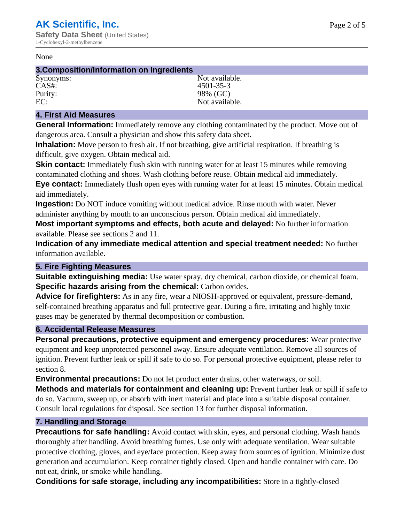#### None

#### **3.Composition/Information on Ingredients**

CAS#: 4501-35-3 Purity: 98% (GC)<br>EC: Not availal

Synonyms: Not available. Not available.

# **4. First Aid Measures**

**General Information:** Immediately remove any clothing contaminated by the product. Move out of dangerous area. Consult a physician and show this safety data sheet.

**Inhalation:** Move person to fresh air. If not breathing, give artificial respiration. If breathing is difficult, give oxygen. Obtain medical aid.

**Skin contact:** Immediately flush skin with running water for at least 15 minutes while removing contaminated clothing and shoes. Wash clothing before reuse. Obtain medical aid immediately. **Eye contact:** Immediately flush open eyes with running water for at least 15 minutes. Obtain medical aid immediately.

**Ingestion:** Do NOT induce vomiting without medical advice. Rinse mouth with water. Never administer anything by mouth to an unconscious person. Obtain medical aid immediately.

**Most important symptoms and effects, both acute and delayed:** No further information available. Please see sections 2 and 11.

**Indication of any immediate medical attention and special treatment needed:** No further information available.

## **5. Fire Fighting Measures**

**Suitable extinguishing media:** Use water spray, dry chemical, carbon dioxide, or chemical foam. **Specific hazards arising from the chemical:** Carbon oxides.

**Advice for firefighters:** As in any fire, wear a NIOSH-approved or equivalent, pressure-demand, self-contained breathing apparatus and full protective gear. During a fire, irritating and highly toxic gases may be generated by thermal decomposition or combustion.

## **6. Accidental Release Measures**

**Personal precautions, protective equipment and emergency procedures:** Wear protective equipment and keep unprotected personnel away. Ensure adequate ventilation. Remove all sources of ignition. Prevent further leak or spill if safe to do so. For personal protective equipment, please refer to section 8.

**Environmental precautions:** Do not let product enter drains, other waterways, or soil.

**Methods and materials for containment and cleaning up:** Prevent further leak or spill if safe to do so. Vacuum, sweep up, or absorb with inert material and place into a suitable disposal container. Consult local regulations for disposal. See section 13 for further disposal information.

## **7. Handling and Storage**

**Precautions for safe handling:** Avoid contact with skin, eyes, and personal clothing. Wash hands thoroughly after handling. Avoid breathing fumes. Use only with adequate ventilation. Wear suitable protective clothing, gloves, and eye/face protection. Keep away from sources of ignition. Minimize dust generation and accumulation. Keep container tightly closed. Open and handle container with care. Do not eat, drink, or smoke while handling.

**Conditions for safe storage, including any incompatibilities:** Store in a tightly-closed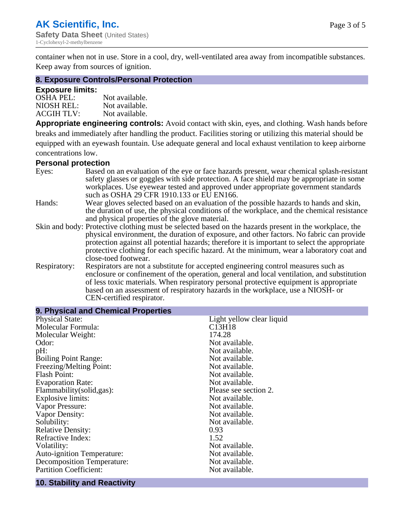container when not in use. Store in a cool, dry, well-ventilated area away from incompatible substances. Keep away from sources of ignition.

#### **8. Exposure Controls/Personal Protection**

#### **Exposure limits:**

| <b>OSHA PEL:</b>  | Not available. |
|-------------------|----------------|
| NIOSH REL:        | Not available. |
| <b>ACGIH TLV:</b> | Not available. |

**Appropriate engineering controls:** Avoid contact with skin, eyes, and clothing. Wash hands before breaks and immediately after handling the product. Facilities storing or utilizing this material should be equipped with an eyewash fountain. Use adequate general and local exhaust ventilation to keep airborne concentrations low.

#### **Personal protection**

| Eyes:        | Based on an evaluation of the eye or face hazards present, wear chemical splash-resistant<br>safety glasses or goggles with side protection. A face shield may be appropriate in some |  |  |
|--------------|---------------------------------------------------------------------------------------------------------------------------------------------------------------------------------------|--|--|
|              | workplaces. Use eyewear tested and approved under appropriate government standards<br>such as OSHA 29 CFR 1910.133 or EU EN166.                                                       |  |  |
| Hands:       | Wear gloves selected based on an evaluation of the possible hazards to hands and skin,                                                                                                |  |  |
|              | the duration of use, the physical conditions of the workplace, and the chemical resistance                                                                                            |  |  |
|              | and physical properties of the glove material.                                                                                                                                        |  |  |
|              | Skin and body: Protective clothing must be selected based on the hazards present in the workplace, the                                                                                |  |  |
|              | physical environment, the duration of exposure, and other factors. No fabric can provide                                                                                              |  |  |
|              | protection against all potential hazards; therefore it is important to select the appropriate                                                                                         |  |  |
|              | protective clothing for each specific hazard. At the minimum, wear a laboratory coat and                                                                                              |  |  |
|              | close-toed footwear.                                                                                                                                                                  |  |  |
| Respiratory: | Respirators are not a substitute for accepted engineering control measures such as<br>enclosure or confinement of the operation, general and local ventilation, and substitution      |  |  |
|              | of less toxic materials. When respiratory personal protective equipment is appropriate                                                                                                |  |  |
|              |                                                                                                                                                                                       |  |  |
|              | based on an assessment of respiratory hazards in the workplace, use a NIOSH- or                                                                                                       |  |  |
|              | CEN-certified respirator.                                                                                                                                                             |  |  |

| 9. Physical and Chemical Properties |                                 |  |  |
|-------------------------------------|---------------------------------|--|--|
| <b>Physical State:</b>              | Light yellow clear liquid       |  |  |
| Molecular Formula:                  | C <sub>13</sub> H <sub>18</sub> |  |  |
| Molecular Weight:                   | 174.28                          |  |  |
| Odor:                               | Not available.                  |  |  |
| $pH$ :                              | Not available.                  |  |  |
| <b>Boiling Point Range:</b>         | Not available.                  |  |  |
| Freezing/Melting Point:             | Not available.                  |  |  |
| <b>Flash Point:</b>                 | Not available.                  |  |  |
| <b>Evaporation Rate:</b>            | Not available.                  |  |  |
| Flammability(solid,gas):            | Please see section 2.           |  |  |
| Explosive limits:                   | Not available.                  |  |  |
| Vapor Pressure:                     | Not available.                  |  |  |
| Vapor Density:                      | Not available.                  |  |  |
| Solubility:                         | Not available.                  |  |  |
| <b>Relative Density:</b>            | 0.93                            |  |  |
| Refractive Index:                   | 1.52                            |  |  |
| Volatility:                         | Not available.                  |  |  |
| <b>Auto-ignition Temperature:</b>   | Not available.                  |  |  |
| <b>Decomposition Temperature:</b>   | Not available.                  |  |  |
| <b>Partition Coefficient:</b>       | Not available.                  |  |  |
|                                     |                                 |  |  |

# **10. Stability and Reactivity**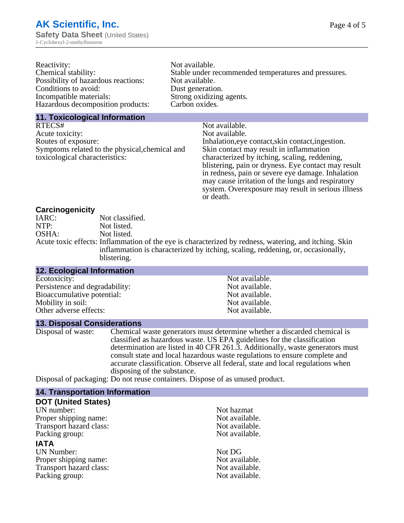| Reactivity:                         | Not available.                                       |
|-------------------------------------|------------------------------------------------------|
| Chemical stability:                 | Stable under recommended temperatures and pressures. |
| Possibility of hazardous reactions: | Not available.                                       |
| Conditions to avoid:                | Dust generation.                                     |
| Incompatible materials:             | Strong oxidizing agents.                             |
| Hazardous decomposition products:   | Carbon oxides.                                       |
|                                     |                                                      |

#### **11. Toxicological Information**

| RTECS#                                         | Not available.                                      |
|------------------------------------------------|-----------------------------------------------------|
| Acute toxicity:                                | Not available.                                      |
| Routes of exposure:                            | Inhalation, eye contact, skin contact, ingestion.   |
| Symptoms related to the physical, chemical and | Skin contact may result in inflammation             |
| toxicological characteristics:                 | characterized by itching, scaling, reddening,       |
|                                                | blistering, pain or dryness. Eye contact may result |
|                                                | in redness, pain or severe eye damage. Inhalation   |
|                                                | may cause irritation of the lungs and respiratory   |
|                                                | system. Overexposure may result in serious illness  |

or death.

#### **Carcinogenicity**

| IARC: | Not classified.                                                                                       |
|-------|-------------------------------------------------------------------------------------------------------|
| NTP:  | Not listed.                                                                                           |
| OSHA: | Not listed.                                                                                           |
|       | Acute toxic effects: Inflammation of the eye is characterized by redness, watering, and itching. Skin |
|       | inflammation is characterized by itching, scaling, reddening, or, occasionally,                       |
|       | blistering.                                                                                           |

| <b>12. Ecological Information</b> |                |
|-----------------------------------|----------------|
| Ecotoxicity:                      | Not available. |
| Persistence and degradability:    | Not available. |
| Bioaccumulative potential:        | Not available. |
| Mobility in soil:                 | Not available. |
| Other adverse effects:            | Not available. |

#### **13. Disposal Considerations**

Disposal of waste: Chemical waste generators must determine whether a discarded chemical is classified as hazardous waste. US EPA guidelines for the classification determination are listed in 40 CFR 261.3. Additionally, waste generators must consult state and local hazardous waste regulations to ensure complete and accurate classification. Observe all federal, state and local regulations when disposing of the substance.

Disposal of packaging: Do not reuse containers. Dispose of as unused product.

| <b>14. Transportation Information</b> |                |
|---------------------------------------|----------------|
| <b>DOT (United States)</b>            |                |
| UN number:                            | Not hazmat     |
| Proper shipping name:                 | Not available. |
| Transport hazard class:               | Not available. |
| Packing group:                        | Not available. |
| <b>IATA</b>                           |                |
| <b>UN Number:</b>                     | Not DG         |
| Proper shipping name:                 | Not available. |
| Transport hazard class:               | Not available. |
| Packing group:                        | Not available. |